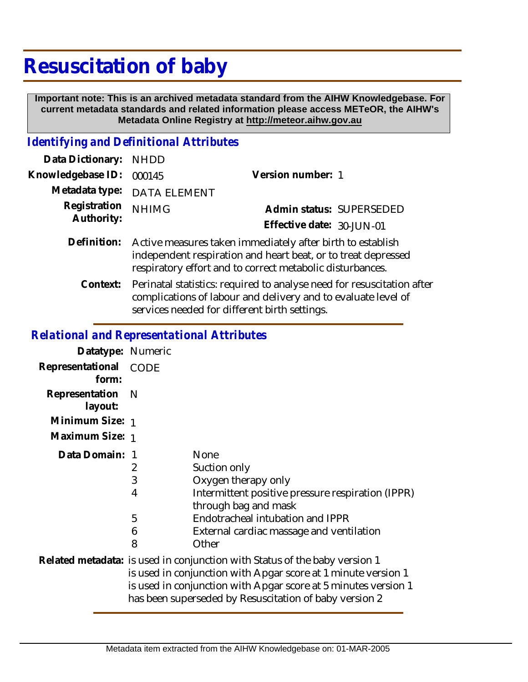## **Resuscitation of baby**

 **Important note: This is an archived metadata standard from the AIHW Knowledgebase. For current metadata standards and related information please access METeOR, the AIHW's Metadata Online Registry at http://meteor.aihw.gov.au**

## *Identifying and Definitional Attributes*

| Data Dictionary:           | <b>NHDD</b>                                                                                                                                                                              |                           |                          |
|----------------------------|------------------------------------------------------------------------------------------------------------------------------------------------------------------------------------------|---------------------------|--------------------------|
| Knowledgebase ID:          | 000145                                                                                                                                                                                   | Version number: 1         |                          |
| Metadata type:             | <b>DATA ELEMENT</b>                                                                                                                                                                      |                           |                          |
| Registration<br>Authority: | <b>NHIMG</b>                                                                                                                                                                             |                           | Admin status: SUPERSEDED |
|                            |                                                                                                                                                                                          | Effective date: 30-JUN-01 |                          |
| Definition:                | Active measures taken immediately after birth to establish<br>independent respiration and heart beat, or to treat depressed<br>respiratory effort and to correct metabolic disturbances. |                           |                          |
| Context:                   | Perinatal statistics: required to analyse need for resuscitation after<br>complications of labour and delivery and to evaluate level of<br>services needed for different birth settings. |                           |                          |

## *Relational and Representational Attributes*

| Datatype: Numeric              |                                                                                                                                                                                                                                                                         |                                                                                                                                                                                                                          |  |
|--------------------------------|-------------------------------------------------------------------------------------------------------------------------------------------------------------------------------------------------------------------------------------------------------------------------|--------------------------------------------------------------------------------------------------------------------------------------------------------------------------------------------------------------------------|--|
| Representational CODE<br>form: |                                                                                                                                                                                                                                                                         |                                                                                                                                                                                                                          |  |
| Representation N<br>layout:    |                                                                                                                                                                                                                                                                         |                                                                                                                                                                                                                          |  |
| Minimum Size: 1                |                                                                                                                                                                                                                                                                         |                                                                                                                                                                                                                          |  |
| Maximum Size: 1                |                                                                                                                                                                                                                                                                         |                                                                                                                                                                                                                          |  |
| Data Domain: 1                 | 2<br>3<br>4<br>5<br>6<br>8                                                                                                                                                                                                                                              | <b>None</b><br>Suction only<br>Oxygen therapy only<br>Intermittent positive pressure respiration (IPPR)<br>through bag and mask<br>Endotracheal intubation and IPPR<br>External cardiac massage and ventilation<br>Other |  |
|                                | Related metadata: is used in conjunction with Status of the baby version 1<br>is used in conjunction with Apgar score at 1 minute version 1<br>is used in conjunction with Apgar score at 5 minutes version 1<br>has been superseded by Resuscitation of baby version 2 |                                                                                                                                                                                                                          |  |